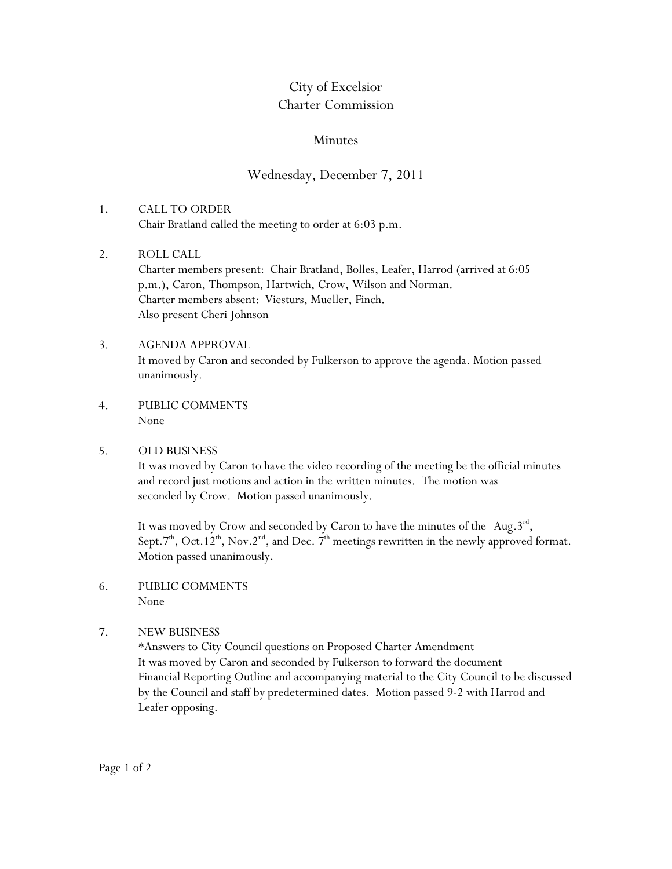## City of Excelsior Charter Commission

## Minutes

## Wednesday, December 7, 2011

- 1. CALL TO ORDER Chair Bratland called the meeting to order at 6:03 p.m.
- 2. ROLL CALL Charter members present: Chair Bratland, Bolles, Leafer, Harrod (arrived at 6:05 p.m.), Caron, Thompson, Hartwich, Crow, Wilson and Norman. Charter members absent: Viesturs, Mueller, Finch. Also present Cheri Johnson
- 3. AGENDA APPROVAL It moved by Caron and seconded by Fulkerson to approve the agenda. Motion passed unanimously.
- 4. PUBLIC COMMENTS None
- 5. OLD BUSINESS

It was moved by Caron to have the video recording of the meeting be the official minutes and record just motions and action in the written minutes. The motion was seconded by Crow. Motion passed unanimously.

It was moved by Crow and seconded by Caron to have the minutes of the Aug.  $3^{rd}$ , Sept.7<sup>th</sup>, Oct.12<sup>th</sup>, Nov.2<sup>nd</sup>, and Dec. 7<sup>th</sup> meetings rewritten in the newly approved format. Motion passed unanimously.

- 6. PUBLIC COMMENTS None
- 7. NEW BUSINESS

\*Answers to City Council questions on Proposed Charter Amendment It was moved by Caron and seconded by Fulkerson to forward the document Financial Reporting Outline and accompanying material to the City Council to be discussed by the Council and staff by predetermined dates. Motion passed 9-2 with Harrod and Leafer opposing.